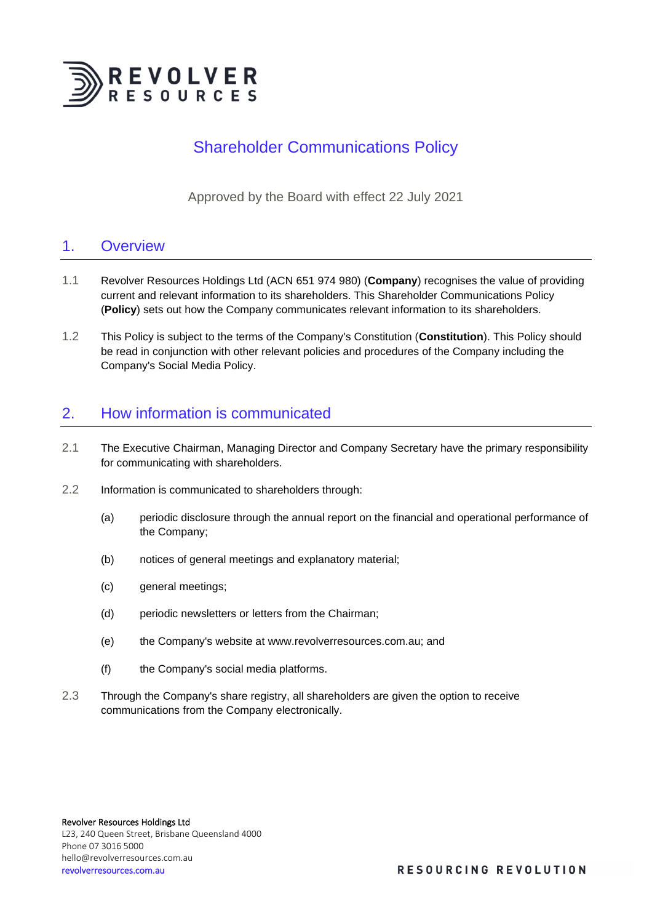

# Shareholder Communications Policy

Approved by the Board with effect 22 July 2021

#### 1. Overview

- 1.1 Revolver Resources Holdings Ltd (ACN 651 974 980) (**Company**) recognises the value of providing current and relevant information to its shareholders. This Shareholder Communications Policy (**Policy**) sets out how the Company communicates relevant information to its shareholders.
- 1.2 This Policy is subject to the terms of the Company's Constitution (**Constitution**). This Policy should be read in conjunction with other relevant policies and procedures of the Company including the Company's Social Media Policy.

## 2. How information is communicated

- 2.1 The Executive Chairman, Managing Director and Company Secretary have the primary responsibility for communicating with shareholders.
- 2.2 Information is communicated to shareholders through:
	- (a) periodic disclosure through the annual report on the financial and operational performance of the Company;
	- (b) notices of general meetings and explanatory material;
	- (c) general meetings;
	- (d) periodic newsletters or letters from the Chairman;
	- (e) the Company's website at www.revolverresources.com.au; and
	- (f) the Company's social media platforms.
- 2.3 Through the Company's share registry, all shareholders are given the option to receive communications from the Company electronically.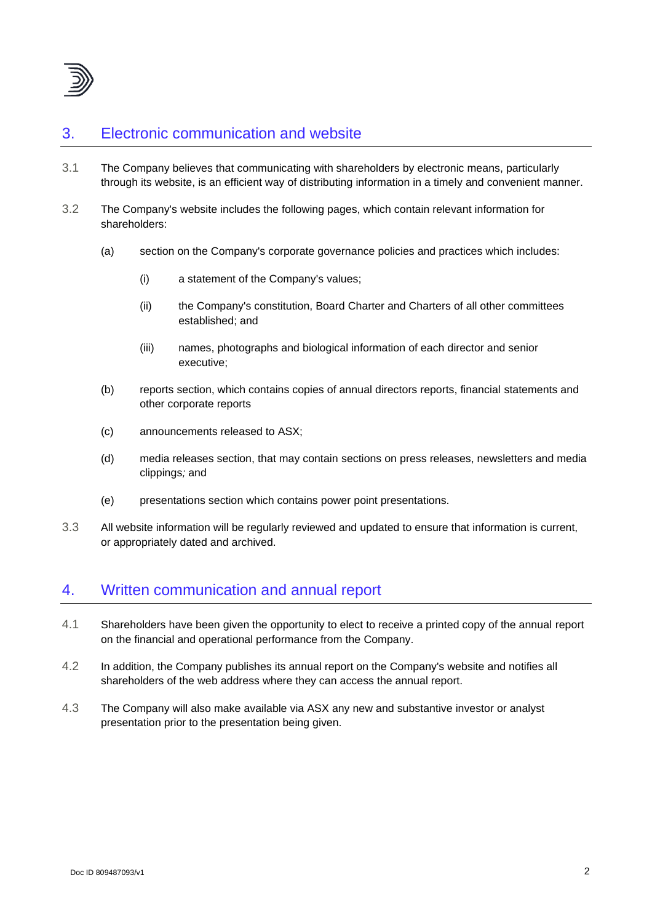

# 3. Electronic communication and website

- 3.1 The Company believes that communicating with shareholders by electronic means, particularly through its website, is an efficient way of distributing information in a timely and convenient manner.
- 3.2 The Company's website includes the following pages, which contain relevant information for shareholders:
	- (a) section on the Company's corporate governance policies and practices which includes:
		- (i) a statement of the Company's values;
		- (ii) the Company's constitution, Board Charter and Charters of all other committees established; and
		- (iii) names, photographs and biological information of each director and senior executive;
	- (b) reports section, which contains copies of annual directors reports, financial statements and other corporate reports
	- (c) announcements released to ASX;
	- (d) media releases section, that may contain sections on press releases, newsletters and media clippings*;* and
	- (e) presentations section which contains power point presentations.
- 3.3 All website information will be regularly reviewed and updated to ensure that information is current, or appropriately dated and archived.

#### 4. Written communication and annual report

- 4.1 Shareholders have been given the opportunity to elect to receive a printed copy of the annual report on the financial and operational performance from the Company.
- 4.2 In addition, the Company publishes its annual report on the Company's website and notifies all shareholders of the web address where they can access the annual report.
- 4.3 The Company will also make available via ASX any new and substantive investor or analyst presentation prior to the presentation being given.